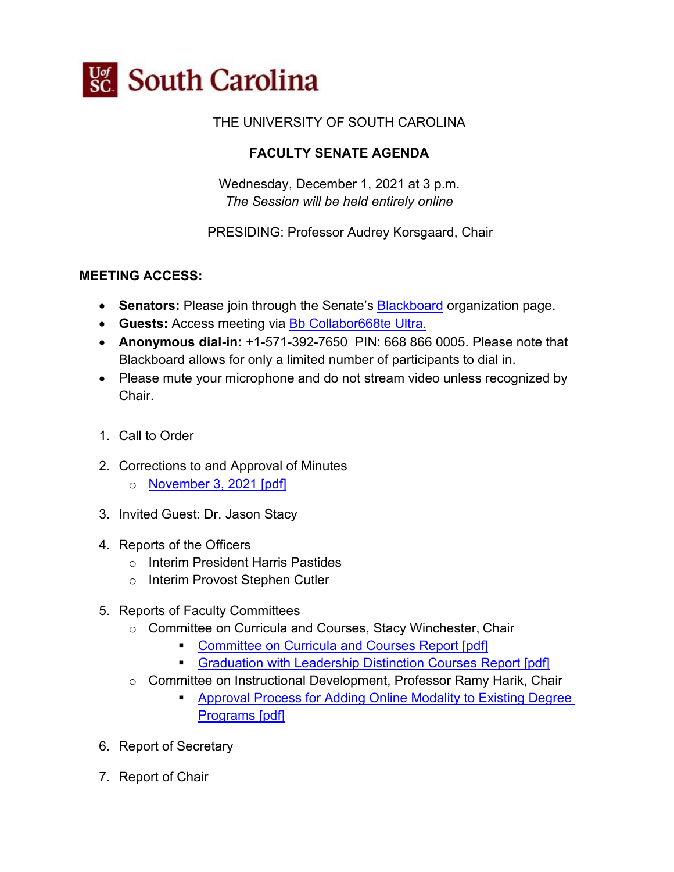

### THE UNIVERSITY OF SOUTH CAROLINA

# **FACULTY SENATE AGENDA**

Wednesday, December 1, 2021 at 3 p.m. *The Session will be held entirely online*

PRESIDING: Professor Audrey Korsgaard, Chair

#### **MEETING ACCESS:**

- **Senators:** Please join through the Senate's **Blackboard** organization page.
- **Guests:** Access meeting via [Bb Collabor668te Ultra.](https://us.bbcollab.com/guest/c3b5ceb22a59410483668a078dfbb715)
- **Anonymous dial-in:** +1-571-392-7650 PIN: 668 866 0005. Please note that Blackboard allows for only a limited number of participants to dial in.
- Please mute your microphone and do not stream video unless recognized by Chair.
- 1. Call to Order
- 2. Corrections to and Approval of Minutes
	- o [November 3, 2021 \[pdf\]](https://www.sc.edu/about/offices_and_divisions/faculty_senate/faculty-toolbox/documents/facsen_meetings/2021_12_1_fs_meeting/november_3_2021_faculty_senate_minutes.pdf)
- 3. Invited Guest: Dr. Jason Stacy
- 4. Reports of the Officers
	- o Interim President Harris Pastides
	- o Interim Provost Stephen Cutler
- 5. Reports of Faculty Committees
	- o Committee on Curricula and Courses, Stacy Winchester, Chair
		- **[Committee on Curricula and Courses Report \[pdf\]](https://www.sc.edu/about/offices_and_divisions/faculty_senate/faculty-toolbox/documents/facsen_meetings/2021_12_1_fs_meeting/2021_12_1_cc_report.pdf)**
		- [Graduation with Leadership Distinction Courses Report \[pdf\]](https://www.sc.edu/about/offices_and_divisions/faculty_senate/faculty-toolbox/documents/facsen_meetings/2021_12_1_fs_meeting/gld_courses.pdf)
	- o Committee on Instructional Development, Professor Ramy Harik, Chair
		- [Approval Process for Adding Online Modality to Existing Degree](https://www.sc.edu/about/offices_and_divisions/faculty_senate/faculty-toolbox/documents/facsen_meetings/2021_12_1_fs_meeting/indev_online_modality.pdf)  [Programs \[pdf\]](https://www.sc.edu/about/offices_and_divisions/faculty_senate/faculty-toolbox/documents/facsen_meetings/2021_12_1_fs_meeting/indev_online_modality.pdf)
- 6. Report of Secretary
- 7. Report of Chair